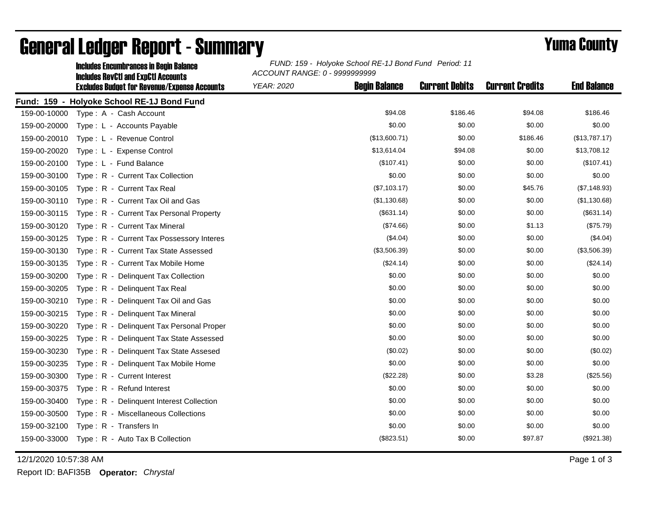|              | <b>Includes Encumbrances in Begin Balance</b>                                                     | FUND: 159 - Holyoke School RE-1J Bond Fund Period: 11<br>ACCOUNT RANGE: 0 - 9999999999 |                      |                       |                        |                    |  |
|--------------|---------------------------------------------------------------------------------------------------|----------------------------------------------------------------------------------------|----------------------|-----------------------|------------------------|--------------------|--|
|              | <b>Includes RevCtI and ExpCtI Accounts</b><br><b>Excludes Budget for Revenue/Expense Accounts</b> | <b>YEAR: 2020</b>                                                                      | <b>Begin Balance</b> | <b>Current Debits</b> | <b>Current Credits</b> | <b>End Balance</b> |  |
|              | Fund: 159 - Holyoke School RE-1J Bond Fund                                                        |                                                                                        |                      |                       |                        |                    |  |
| 159-00-10000 | Type: A - Cash Account                                                                            |                                                                                        | \$94.08              | \$186.46              | \$94.08                | \$186.46           |  |
| 159-00-20000 | Type: L - Accounts Payable                                                                        |                                                                                        | \$0.00               | \$0.00                | \$0.00                 | \$0.00             |  |
| 159-00-20010 | Type: L - Revenue Control                                                                         |                                                                                        | (\$13,600.71)        | \$0.00                | \$186.46               | (\$13,787.17)      |  |
| 159-00-20020 | Type: L - Expense Control                                                                         |                                                                                        | \$13,614.04          | \$94.08               | \$0.00                 | \$13,708.12        |  |
| 159-00-20100 | Type: L - Fund Balance                                                                            |                                                                                        | (\$107.41)           | \$0.00                | \$0.00                 | (\$107.41)         |  |
| 159-00-30100 | Type: R - Current Tax Collection                                                                  |                                                                                        | \$0.00               | \$0.00                | \$0.00                 | \$0.00             |  |
| 159-00-30105 | Type: R - Current Tax Real                                                                        |                                                                                        | (\$7,103.17)         | \$0.00                | \$45.76                | (\$7,148.93)       |  |
| 159-00-30110 | Type: R - Current Tax Oil and Gas                                                                 |                                                                                        | (\$1,130.68)         | \$0.00                | \$0.00                 | (\$1,130.68)       |  |
| 159-00-30115 | Type: R - Current Tax Personal Property                                                           |                                                                                        | (\$631.14)           | \$0.00                | \$0.00                 | (\$631.14)         |  |
| 159-00-30120 | Type: R - Current Tax Mineral                                                                     |                                                                                        | (\$74.66)            | \$0.00                | \$1.13                 | (\$75.79)          |  |
| 159-00-30125 | Type: R - Current Tax Possessory Interes                                                          |                                                                                        | (\$4.04)             | \$0.00                | \$0.00                 | (\$4.04)           |  |
| 159-00-30130 | Type: R - Current Tax State Assessed                                                              |                                                                                        | (\$3,506.39)         | \$0.00                | \$0.00                 | (\$3,506.39)       |  |
| 159-00-30135 | Type: R - Current Tax Mobile Home                                                                 |                                                                                        | (\$24.14)            | \$0.00                | \$0.00                 | (\$24.14)          |  |
| 159-00-30200 | Type: R - Delinquent Tax Collection                                                               |                                                                                        | \$0.00               | \$0.00                | \$0.00                 | \$0.00             |  |
| 159-00-30205 | Type: R - Delinquent Tax Real                                                                     |                                                                                        | \$0.00               | \$0.00                | \$0.00                 | \$0.00             |  |
| 159-00-30210 | Type: R - Delinguent Tax Oil and Gas                                                              |                                                                                        | \$0.00               | \$0.00                | \$0.00                 | \$0.00             |  |
| 159-00-30215 | Type: R - Delinquent Tax Mineral                                                                  |                                                                                        | \$0.00               | \$0.00                | \$0.00                 | \$0.00             |  |
| 159-00-30220 | Type: R - Delinguent Tax Personal Proper                                                          |                                                                                        | \$0.00               | \$0.00                | \$0.00                 | \$0.00             |  |
| 159-00-30225 | Type: R - Delinquent Tax State Assessed                                                           |                                                                                        | \$0.00               | \$0.00                | \$0.00                 | \$0.00             |  |
| 159-00-30230 | Type: R - Delinquent Tax State Assesed                                                            |                                                                                        | (\$0.02)             | \$0.00                | \$0.00                 | (\$0.02)           |  |
| 159-00-30235 | Type: R - Delinquent Tax Mobile Home                                                              |                                                                                        | \$0.00               | \$0.00                | \$0.00                 | \$0.00             |  |
| 159-00-30300 | Type: R - Current Interest                                                                        |                                                                                        | (\$22.28)            | \$0.00                | \$3.28                 | (\$25.56)          |  |
| 159-00-30375 | Type: R - Refund Interest                                                                         |                                                                                        | \$0.00               | \$0.00                | \$0.00                 | \$0.00             |  |
| 159-00-30400 | Type: R - Delinquent Interest Collection                                                          |                                                                                        | \$0.00               | \$0.00                | \$0.00                 | \$0.00             |  |
| 159-00-30500 | Type: R - Miscellaneous Collections                                                               |                                                                                        | \$0.00               | \$0.00                | \$0.00                 | \$0.00             |  |
| 159-00-32100 | Type: R - Transfers In                                                                            |                                                                                        | \$0.00               | \$0.00                | \$0.00                 | \$0.00             |  |
| 159-00-33000 | Type: R - Auto Tax B Collection                                                                   |                                                                                        | (\$823.51)           | \$0.00                | \$97.87                | (\$921.38)         |  |

## General Ledger Report - Summary **Example 2018** Yuma County

12/1/2020 10:57:38 AM Page 1 of 3

Report ID: BAFI35B **Operator:** *Chrystal*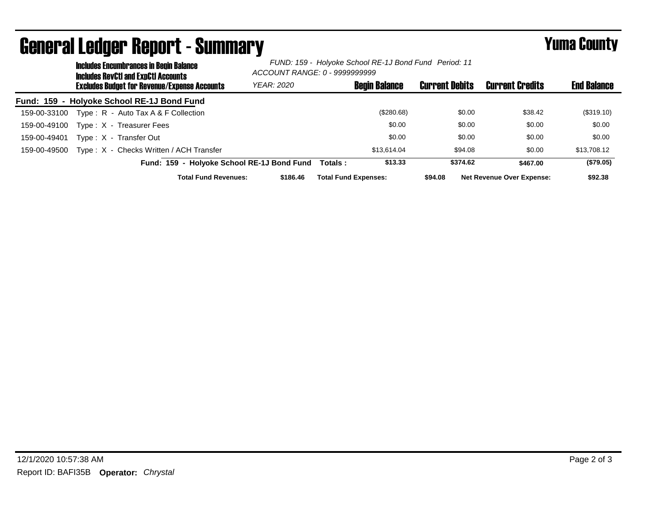|              | <b>Includes Encumbrances in Begin Balance</b><br><b>Includes RevCtI and ExpCtI Accounts</b> |                                                     | FUND: 159 - Holyoke School RE-1J Bond Fund Period: 11<br>ACCOUNT RANGE: 0 - 9999999999 |          |                             |                       |                                  |                    |
|--------------|---------------------------------------------------------------------------------------------|-----------------------------------------------------|----------------------------------------------------------------------------------------|----------|-----------------------------|-----------------------|----------------------------------|--------------------|
|              |                                                                                             | <b>Excludes Budget for Revenue/Expense Accounts</b> | <b>YEAR: 2020</b>                                                                      |          | <b>Begin Balance</b>        | <b>Current Debits</b> | <b>Current Credits</b>           | <b>End Balance</b> |
|              |                                                                                             | Fund: 159 - Holyoke School RE-1J Bond Fund          |                                                                                        |          |                             |                       |                                  |                    |
| 159-00-33100 |                                                                                             | Type: R - Auto Tax A & F Collection                 |                                                                                        |          | (\$280.68)                  | \$0.00                | \$38.42                          | (\$319.10)         |
| 159-00-49100 |                                                                                             | Type: X - Treasurer Fees                            |                                                                                        |          | \$0.00                      | \$0.00                | \$0.00                           | \$0.00             |
| 159-00-49401 |                                                                                             | Type: X - Transfer Out                              |                                                                                        |          | \$0.00                      | \$0.00                | \$0.00                           | \$0.00             |
| 159-00-49500 |                                                                                             | Type: X - Checks Written / ACH Transfer             |                                                                                        |          | \$13.614.04                 | \$94.08               | \$0.00                           | \$13,708.12        |
|              |                                                                                             | Fund: 159 - Holyoke School RE-1J Bond Fund          |                                                                                        | Totals : | \$13.33                     | \$374.62              | \$467.00                         | (\$79.05)          |
|              |                                                                                             | <b>Total Fund Revenues:</b>                         | \$186.46                                                                               |          | <b>Total Fund Expenses:</b> | \$94.08               | <b>Net Revenue Over Expense:</b> | \$92.38            |

## General Ledger Report - Summary **Example 2018** Yuma County